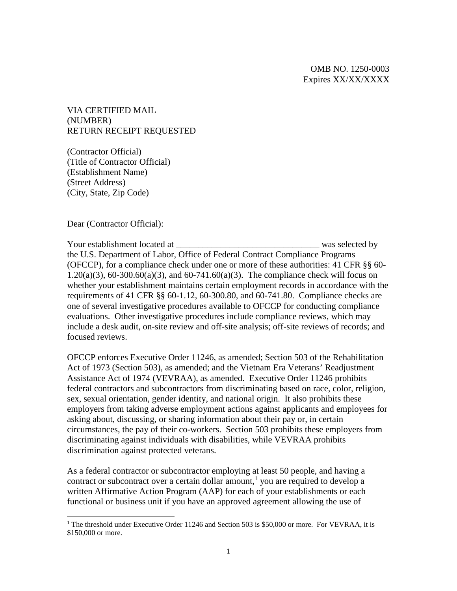VIA CERTIFIED MAIL (NUMBER) RETURN RECEIPT REQUESTED

(Contractor Official) (Title of Contractor Official) (Establishment Name) (Street Address) (City, State, Zip Code)

Dear (Contractor Official):

Your establishment located at the same selected by the selected by the selected by the selected by the selected by the selected by the selected by the selected by the selected by the selected by the selected by the selecte the U.S. Department of Labor, Office of Federal Contract Compliance Programs (OFCCP), for a compliance check under one or more of these authorities: 41 CFR §§ 60- 1.20(a)(3), 60-300.60(a)(3), and 60-741.60(a)(3). The compliance check will focus on whether your establishment maintains certain employment records in accordance with the requirements of 41 CFR §§ 60-1.12, 60-300.80, and 60-741.80. Compliance checks are one of several investigative procedures available to OFCCP for conducting compliance evaluations. Other investigative procedures include compliance reviews, which may include a desk audit, on-site review and off-site analysis; off-site reviews of records; and focused reviews.

OFCCP enforces Executive Order 11246, as amended; Section 503 of the Rehabilitation Act of 1973 (Section 503), as amended; and the Vietnam Era Veterans' Readjustment Assistance Act of 1974 (VEVRAA), as amended. Executive Order 11246 prohibits federal contractors and subcontractors from discriminating based on race, color, religion, sex, sexual orientation, gender identity, and national origin. It also prohibits these employers from taking adverse employment actions against applicants and employees for asking about, discussing, or sharing information about their pay or, in certain circumstances, the pay of their co-workers. Section 503 prohibits these employers from discriminating against individuals with disabilities, while VEVRAA prohibits discrimination against protected veterans.

As a federal contractor or subcontractor employing at least 50 people, and having a contract or subcontract over a certain dollar amount,<sup>1</sup> you are required to develop a written Affirmative Action Program (AAP) for each of your establishments or each functional or business unit if you have an approved agreement allowing the use of

<sup>&</sup>lt;sup>1</sup> The threshold under Executive Order 11246 and Section 503 is \$50,000 or more. For VEVRAA, it is \$150,000 or more.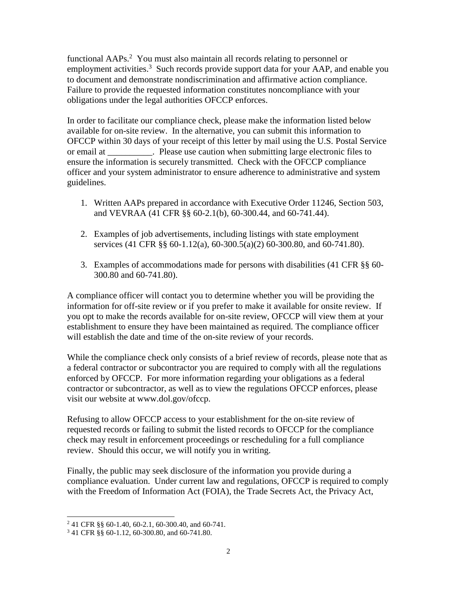functional AAPs.<sup>2</sup> You must also maintain all records relating to personnel or employment activities.<sup>3</sup> Such records provide support data for your AAP, and enable you to document and demonstrate nondiscrimination and affirmative action compliance. Failure to provide the requested information constitutes noncompliance with your obligations under the legal authorities OFCCP enforces.

In order to facilitate our compliance check, please make the information listed below available for on-site review. In the alternative, you can submit this information to OFCCP within 30 days of your receipt of this letter by mail using the U.S. Postal Service or email at The Please use caution when submitting large electronic files to ensure the information is securely transmitted. Check with the OFCCP compliance officer and your system administrator to ensure adherence to administrative and system guidelines.

- 1. Written AAPs prepared in accordance with Executive Order 11246, Section 503, and VEVRAA (41 CFR §§ 60-2.1(b), 60-300.44, and 60-741.44).
- 2. Examples of job advertisements, including listings with state employment services (41 CFR §§ 60-1.12(a), 60-300.5(a)(2) 60-300.80, and 60-741.80).
- 3. Examples of accommodations made for persons with disabilities (41 CFR §§ 60- 300.80 and 60-741.80).

A compliance officer will contact you to determine whether you will be providing the information for off-site review or if you prefer to make it available for onsite review. If you opt to make the records available for on-site review, OFCCP will view them at your establishment to ensure they have been maintained as required. The compliance officer will establish the date and time of the on-site review of your records.

While the compliance check only consists of a brief review of records, please note that as a federal contractor or subcontractor you are required to comply with all the regulations enforced by OFCCP. For more information regarding your obligations as a federal contractor or subcontractor, as well as to view the regulations OFCCP enforces, please visit our website at www.dol.gov/ofccp.

Refusing to allow OFCCP access to your establishment for the on-site review of requested records or failing to submit the listed records to OFCCP for the compliance check may result in enforcement proceedings or rescheduling for a full compliance review. Should this occur, we will notify you in writing.

Finally, the public may seek disclosure of the information you provide during a compliance evaluation. Under current law and regulations, OFCCP is required to comply with the Freedom of Information Act (FOIA), the Trade Secrets Act, the Privacy Act,

<sup>2</sup> 41 CFR §§ 60-1.40, 60-2.1, 60-300.40, and 60-741.

<sup>3</sup> 41 CFR §§ 60-1.12, 60-300.80, and 60-741.80.